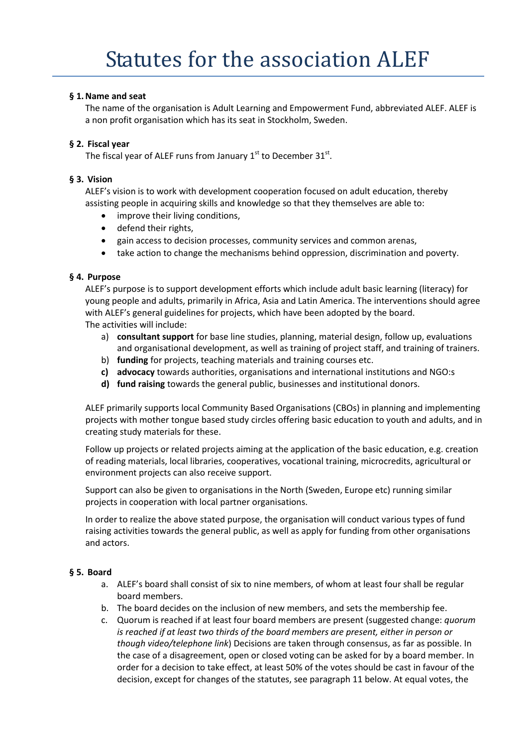# **§ 1.Name and seat**

The name of the organisation is Adult Learning and Empowerment Fund, abbreviated ALEF. ALEF is a non profit organisation which has its seat in Stockholm, Sweden.

## **§ 2. Fiscal year**

The fiscal year of ALEF runs from January  $1<sup>st</sup>$  to December  $31<sup>st</sup>$ .

## **§ 3. Vision**

ALEF's vision is to work with development cooperation focused on adult education, thereby assisting people in acquiring skills and knowledge so that they themselves are able to:

- improve their living conditions,
- defend their rights,
- gain access to decision processes, community services and common arenas,
- take action to change the mechanisms behind oppression, discrimination and poverty.

## **§ 4. Purpose**

ALEF's purpose is to support development efforts which include adult basic learning (literacy) for young people and adults, primarily in Africa, Asia and Latin America. The interventions should agree with ALEF's general guidelines for projects, which have been adopted by the board. The activities will include:

- a) **consultant support** for base line studies, planning, material design, follow up, evaluations and organisational development, as well as training of project staff, and training of trainers.
- b) **funding** for projects, teaching materials and training courses etc.
- **c) advocacy** towards authorities, organisations and international institutions and NGO:s
- **d) fund raising** towards the general public, businesses and institutional donors.

ALEF primarily supports local Community Based Organisations (CBOs) in planning and implementing projects with mother tongue based study circles offering basic education to youth and adults, and in creating study materials for these.

Follow up projects or related projects aiming at the application of the basic education, e.g. creation of reading materials, local libraries, cooperatives, vocational training, microcredits, agricultural or environment projects can also receive support.

Support can also be given to organisations in the North (Sweden, Europe etc) running similar projects in cooperation with local partner organisations.

In order to realize the above stated purpose, the organisation will conduct various types of fund raising activities towards the general public, as well as apply for funding from other organisations and actors.

#### **§ 5. Board**

- a. ALEF's board shall consist of six to nine members, of whom at least four shall be regular board members.
- b. The board decides on the inclusion of new members, and sets the membership fee.
- c. Quorum is reached if at least four board members are present (suggested change: *quorum is reached if at least two thirds of the board members are present, either in person or though video/telephone link*) Decisions are taken through consensus, as far as possible. In the case of a disagreement, open or closed voting can be asked for by a board member. In order for a decision to take effect, at least 50% of the votes should be cast in favour of the decision, except for changes of the statutes, see paragraph 11 below. At equal votes, the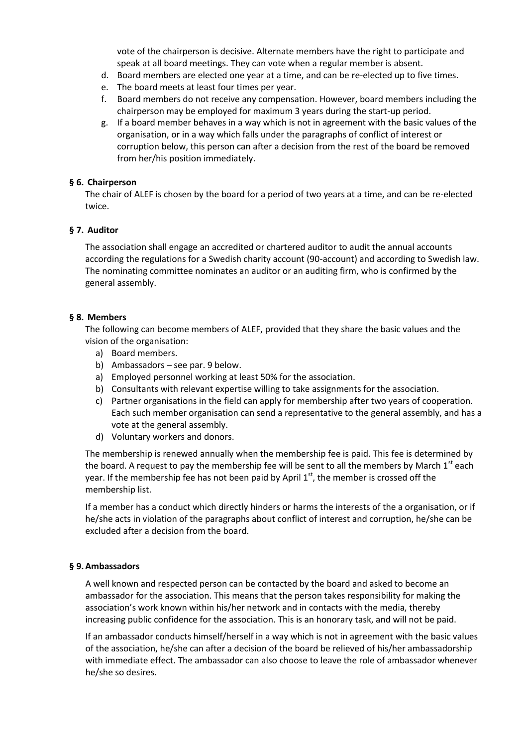vote of the chairperson is decisive. Alternate members have the right to participate and speak at all board meetings. They can vote when a regular member is absent.

- d. Board members are elected one year at a time, and can be re-elected up to five times.
- e. The board meets at least four times per year.
- f. Board members do not receive any compensation. However, board members including the chairperson may be employed for maximum 3 years during the start-up period.
- g. If a board member behaves in a way which is not in agreement with the basic values of the organisation, or in a way which falls under the paragraphs of conflict of interest or corruption below, this person can after a decision from the rest of the board be removed from her/his position immediately.

## **§ 6. Chairperson**

The chair of ALEF is chosen by the board for a period of two years at a time, and can be re-elected twice.

#### **§ 7. Auditor**

The association shall engage an accredited or chartered auditor to audit the annual accounts according the regulations for a Swedish charity account (90-account) and according to Swedish law. The nominating committee nominates an auditor or an auditing firm, who is confirmed by the general assembly.

#### **§ 8. Members**

The following can become members of ALEF, provided that they share the basic values and the vision of the organisation:

- a) Board members.
- b) Ambassadors see par. 9 below.
- a) Employed personnel working at least 50% for the association.
- b) Consultants with relevant expertise willing to take assignments for the association.
- c) Partner organisations in the field can apply for membership after two years of cooperation. Each such member organisation can send a representative to the general assembly, and has a vote at the general assembly.
- d) Voluntary workers and donors.

The membership is renewed annually when the membership fee is paid. This fee is determined by the board. A request to pay the membership fee will be sent to all the members by March  $1^{st}$  each year. If the membership fee has not been paid by April  $1<sup>st</sup>$ , the member is crossed off the membership list.

If a member has a conduct which directly hinders or harms the interests of the a organisation, or if he/she acts in violation of the paragraphs about conflict of interest and corruption, he/she can be excluded after a decision from the board.

#### **§ 9.Ambassadors**

A well known and respected person can be contacted by the board and asked to become an ambassador for the association. This means that the person takes responsibility for making the association's work known within his/her network and in contacts with the media, thereby increasing public confidence for the association. This is an honorary task, and will not be paid.

If an ambassador conducts himself/herself in a way which is not in agreement with the basic values of the association, he/she can after a decision of the board be relieved of his/her ambassadorship with immediate effect. The ambassador can also choose to leave the role of ambassador whenever he/she so desires.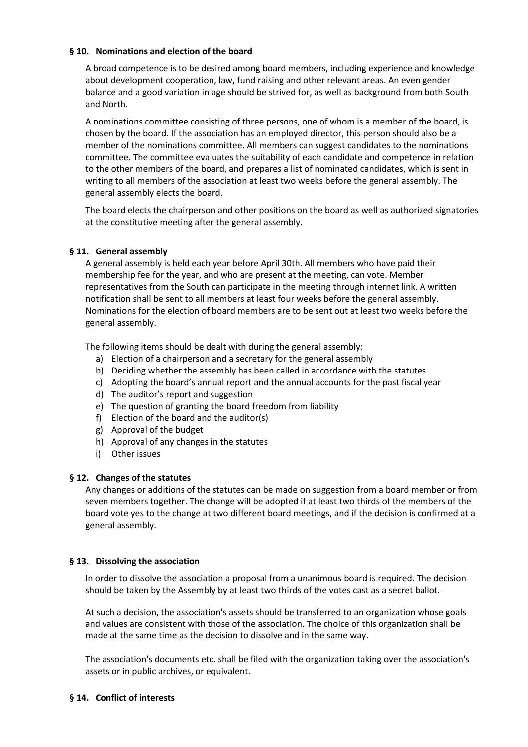## **§ 10. Nominations and election of the board**

A broad competence is to be desired among board members, including experience and knowledge about development cooperation, law, fund raising and other relevant areas. An even gender balance and a good variation in age should be strived for, as well as background from both South and North.

A nominations committee consisting of three persons, one of whom is a member of the board, is chosen by the board. If the association has an employed director, this person should also be a member of the nominations committee. All members can suggest candidates to the nominations committee. The committee evaluates the suitability of each candidate and competence in relation to the other members of the board, and prepares a list of nominated candidates, which is sent in writing to all members of the association at least two weeks before the general assembly. The general assembly elects the board.

The board elects the chairperson and other positions on the board as well as authorized signatories at the constitutive meeting after the general assembly.

## **§ 11. General assembly**

A general assembly is held each year before April 30th. All members who have paid their membership fee for the year, and who are present at the meeting, can vote. Member representatives from the South can participate in the meeting through internet link. A written notification shall be sent to all members at least four weeks before the general assembly. Nominations for the election of board members are to be sent out at least two weeks before the general assembly.

The following items should be dealt with during the general assembly:

- a) Election of a chairperson and a secretary for the general assembly
- b) Deciding whether the assembly has been called in accordance with the statutes
- c) Adopting the board's annual report and the annual accounts for the past fiscal year
- d) The auditor's report and suggestion
- e) The question of granting the board freedom from liability
- f) Election of the board and the auditor(s)
- g) Approval of the budget
- h) Approval of any changes in the statutes
- i) Other issues

#### **§ 12. Changes of the statutes**

Any changes or additions of the statutes can be made on suggestion from a board member or from seven members together. The change will be adopted if at least two thirds of the members of the board vote yes to the change at two different board meetings, and if the decision is confirmed at a general assembly.

#### **§ 13. Dissolving the association**

In order to dissolve the association a proposal from a unanimous board is required. The decision should be taken by the Assembly by at least two thirds of the votes cast as a secret ballot.

At such a decision, the association's assets should be transferred to an organization whose goals and values are consistent with those of the association. The choice of this organization shall be made at the same time as the decision to dissolve and in the same way.

The association's documents etc. shall be filed with the organization taking over the association's assets or in public archives, or equivalent.